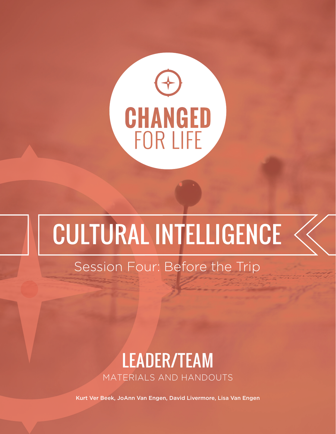

# Cultural Intelligence

### Session Four: Before the Trip

### Leader/team materials And Handouts

Kurt Ver Beek, JoAnn Van Engen, David Livermore, Lisa Van Engen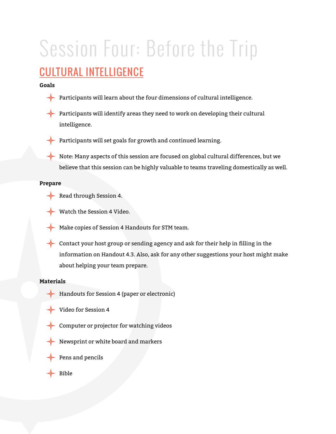## Session Four: Before the Trip

### Cultural Intelligence

### **Goals**

- Participants will learn about the four dimensions of cultural intelligence.
- Participants will identify areas they need to work on developing their cultural intelligence.
- Participants will set goals for growth and continued learning.
- Note: Many aspects of this session are focused on global cultural differences, but we believe that this session can be highly valuable to teams traveling domestically as well.

### **Prepare**

- Read through Session 4.
- Watch the Session 4 Video.
- Make copies of Session 4 Handouts for STM team.
- Contact your host group or sending agency and ask for their help in filling in the information on Handout 4.3. Also, ask for any other suggestions your host might make about helping your team prepare.

### **Materials**

- Handouts for Session 4 (paper or electronic)
- Video for Session 4
- Computer or projector for watching videos
- Newsprint or white board and markers
- Pens and pencils
- Bible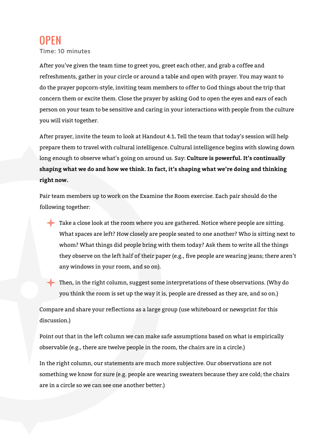### Open Time: 10 minutes

After you've given the team time to greet you, greet each other, and grab a coffee and refreshments, gather in your circle or around a table and open with prayer. You may want to do the prayer popcorn-style, inviting team members to offer to God things about the trip that concern them or excite them. Close the prayer by asking God to open the eyes and ears of each person on your team to be sensitive and caring in your interactions with people from the culture you will visit together.

After prayer, invite the team to look at Handout 4.1**.** Tell the team that today's session will help prepare them to travel with cultural intelligence. Cultural intelligence begins with slowing down long enough to observe what's going on around us. Say: **Culture is powerful. It's continually shaping what we do and how we think. In fact, it's shaping what we're doing and thinking right now.**

Pair team members up to work on the Examine the Room exercise. Each pair should do the following together:

- Take a close look at the room where you are gathered. Notice where people are sitting. What spaces are left? How closely are people seated to one another? Who is sitting next to whom? What things did people bring with them today? Ask them to write all the things they observe on the left half of their paper (e.g., five people are wearing jeans; there aren't any windows in your room, and so on).
- Then, in the right column, suggest some interpretations of these observations. (Why do you think the room is set up the way it is, people are dressed as they are, and so on.)

Compare and share your reflections as a large group (use whiteboard or newsprint for this discussion.)

Point out that in the left column we can make safe assumptions based on what is empirically observable (e.g., there are twelve people in the room, the chairs are in a circle.)

In the right column, our statements are much more subjective. Our observations are not something we know for sure (e.g. people are wearing sweaters because they are cold; the chairs are in a circle so we can see one another better.)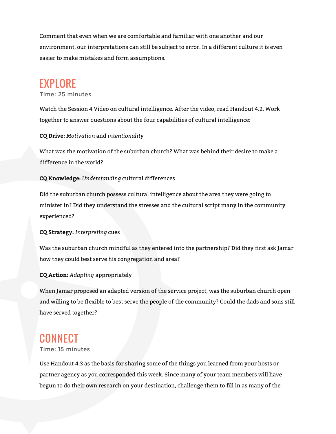Comment that even when we are comfortable and familiar with one another and our environment, our interpretations can still be subject to error. In a different culture it is even easier to make mistakes and form assumptions.

### **EXPLORE**

Time: 25 minutes

Watch the Session 4 Video on cultural intelligence. After the video, read Handout 4.2. Work together to answer questions about the four capabilities of cultural intelligence:

**CQ Drive:** *Motivation* and *intentionality*

What was the motivation of the suburban church? What was behind their desire to make a difference in the world?

### **CQ Knowledge:** *Understanding* cultural differences

Did the suburban church possess cultural intelligence about the area they were going to minister in? Did they understand the stresses and the cultural script many in the community experienced?

#### **CQ Strategy:** *Interpreting* cues

Was the suburban church mindful as they entered into the partnership? Did they first ask Jamar how they could best serve his congregation and area?

#### **CQ Action:** *Adapting* appropriately

When Jamar proposed an adapted version of the service project, was the suburban church open and willing to be flexible to best serve the people of the community? Could the dads and sons still have served together?

### **CONNECT**

#### Time: 15 minutes

Use Handout 4.3 as the basis for sharing some of the things you learned from your hosts or partner agency as you corresponded this week. Since many of your team members will have begun to do their own research on your destination, challenge them to fill in as many of the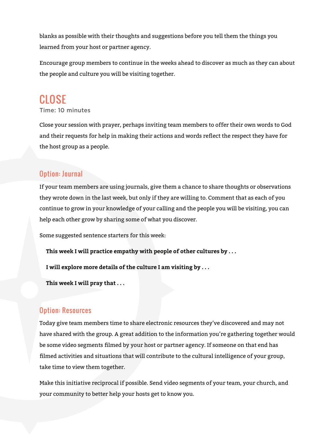blanks as possible with their thoughts and suggestions before you tell them the things you learned from your host or partner agency.

Encourage group members to continue in the weeks ahead to discover as much as they can about the people and culture you will be visiting together.

### **CLOSE**

#### Time: 10 minutes

Close your session with prayer, perhaps inviting team members to offer their own words to God and their requests for help in making their actions and words reflect the respect they have for the host group as a people.

### Option: Journal

If your team members are using journals, give them a chance to share thoughts or observations they wrote down in the last week, but only if they are willing to. Comment that as each of you continue to grow in your knowledge of your calling and the people you will be visiting, you can help each other grow by sharing some of what you discover.

Some suggested sentence starters for this week:

**This week I will practice empathy with people of other cultures by . . .**

**I will explore more details of the culture I am visiting by . . .**

**This week I will pray that . . .**

### Option: Resources

Today give team members time to share electronic resources they've discovered and may not have shared with the group. A great addition to the information you're gathering together would be some video segments filmed by your host or partner agency. If someone on that end has filmed activities and situations that will contribute to the cultural intelligence of your group, take time to view them together.

Make this initiative reciprocal if possible. Send video segments of your team, your church, and your community to better help your hosts get to know you.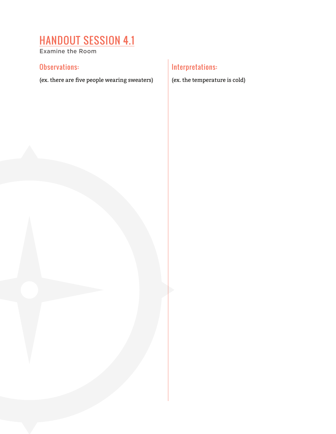### Handout Session 4.1

Examine the Room

(ex. there are five people wearing sweaters)  $\left\vert \right\rangle$  (ex. the temperature is cold)

### Observations: **Interpretations:**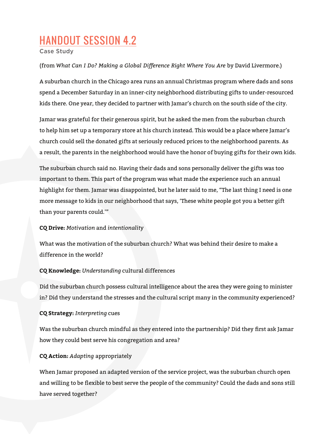### Handout Session 4.2

Case Study

#### (from *What Can I Do? Making a Global Difference Right Where You Are* by David Livermore.)

A suburban church in the Chicago area runs an annual Christmas program where dads and sons spend a December Saturday in an inner-city neighborhood distributing gifts to under-resourced kids there. One year, they decided to partner with Jamar's church on the south side of the city.

Jamar was grateful for their generous spirit, but he asked the men from the suburban church to help him set up a temporary store at his church instead. This would be a place where Jamar's church could sell the donated gifts at seriously reduced prices to the neighborhood parents. As a result, the parents in the neighborhood would have the honor of buying gifts for their own kids.

The suburban church said no. Having their dads and sons personally deliver the gifts was too important to them. This part of the program was what made the experience such an annual highlight for them. Jamar was disappointed, but he later said to me, "The last thing I need is one more message to kids in our neighborhood that says, 'These white people got you a better gift than your parents could.'"

#### **CQ Drive:** *Motivation* and *intentionality*

What was the motivation of the suburban church? What was behind their desire to make a difference in the world?

#### **CQ Knowledge:** *Understanding* cultural differences

Did the suburban church possess cultural intelligence about the area they were going to minister in? Did they understand the stresses and the cultural script many in the community experienced?

#### **CQ Strategy:** *Interpreting* cues

Was the suburban church mindful as they entered into the partnership? Did they first ask Jamar how they could best serve his congregation and area?

#### **CQ Action:** *Adapting* appropriately

When Jamar proposed an adapted version of the service project, was the suburban church open and willing to be flexible to best serve the people of the community? Could the dads and sons still have served together?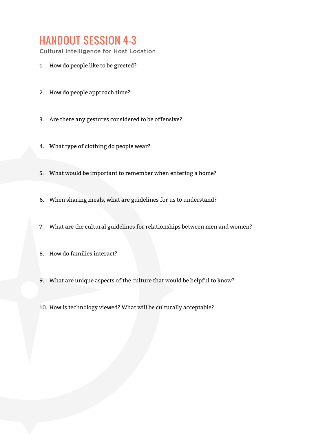### Handout Session 4-3

Cultural Intelligence for Host Location

- 1. How do people like to be greeted?
- 2. How do people approach time?
- 3. Are there any gestures considered to be offensive?
- 4. What type of clothing do people wear?
- 5. What would be important to remember when entering a home?
- 6. When sharing meals, what are guidelines for us to understand?
- 7. What are the cultural guidelines for relationships between men and women?
- 8. How do families interact?
- 9. What are unique aspects of the culture that would be helpful to know?
- 10. How is technology viewed? What will be culturally acceptable?